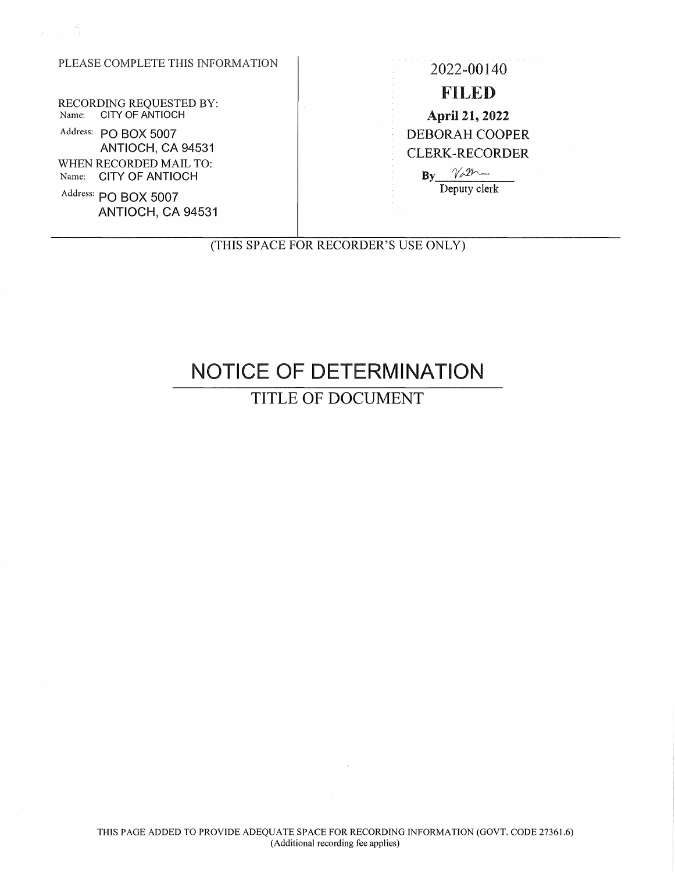### PLEASE COMPLETE THIS INFORMATION 2022-00140

RECORDING REQUESTED BY: Name: CITY OF ANTIOCH

Address: PO BOX 5007 ANTIOCH, CA 94531 WHEN RECORDED MAIL TO: Name: CITY OF ANTIOCH

Address: **PO BOX 5007**  ANTIOCH, CA 94531

FILED April 21, 2022 DEBORAH COOPER CLERK-RECORDER  $By  $\gamma_{\phi}$   $m$$ 

Deputy clerk

(THIS SPACE FOR RECORDER'S USE ONLY)

# NOTICE OF DETERMINATION

## TITLE OF DOCUMENT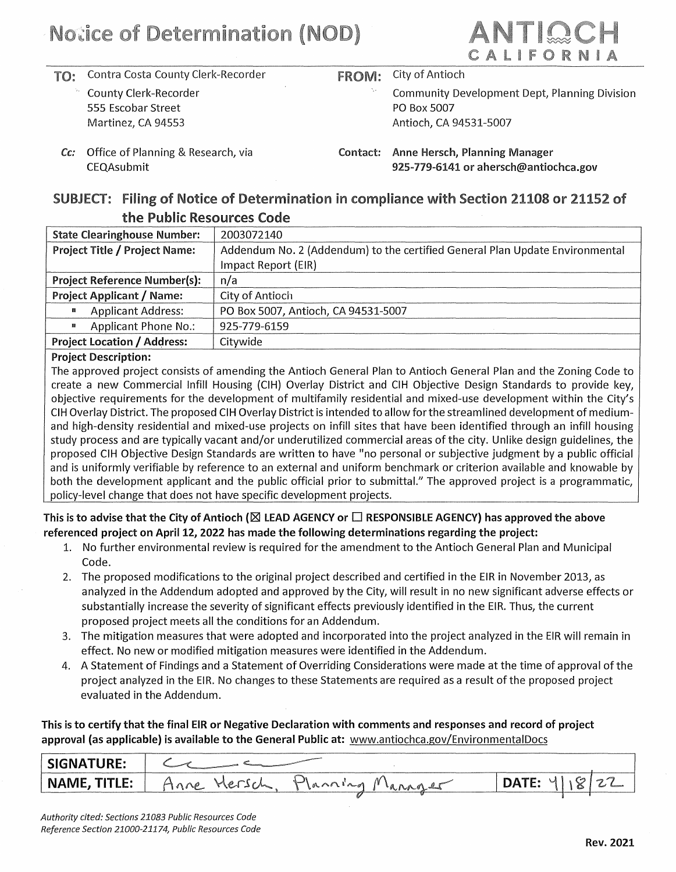

- **TO:** Contra Costa County Clerk-Recorder
	- County Clerk-Recorder 555 Escobar Street Martinez, CA 94553
- **FROM:** City of Antioch
	- Community Development Dept, Planning Division PO Box 5007 Antioch, CA 94531-5007

Cc: Office of Planning & Research, via CEQAsubmit

Contact: Anne Hersch, Planning Manager 925-779-6141 or ahersch@antiochca.gov

#### **SUBJECT: Filing of** Notice **of** Determination in compliance with Section **21108 or 21152 of**  the Public Resources Code

| <b>State Clearinghouse Number:</b>   | 2003072140                                                                   |
|--------------------------------------|------------------------------------------------------------------------------|
| <b>Project Title / Project Name:</b> | Addendum No. 2 (Addendum) to the certified General Plan Update Environmental |
|                                      | Impact Report (EIR)                                                          |
| <b>Project Reference Number(s):</b>  | n/a                                                                          |
| <b>Project Applicant / Name:</b>     | City of Antioch                                                              |
| <b>Applicant Address:</b><br>E.      | PO Box 5007, Antioch, CA 94531-5007                                          |
| <b>Applicant Phone No.:</b><br>靈     | 925-779-6159                                                                 |
| <b>Project Location / Address:</b>   | Citywide                                                                     |

#### **Project Description:**

The approved project consists of amending the Antioch General Plan to Antioch General Plan and the Zoning Code to create a new Commercial Infill Housing (CIH} Overlay District and CIH Objective Design Standards to provide key, objective requirements for the development of multifamily residential and mixed-use development within the City's CIH Overlay District. The proposed CIH Overlay District is intended to allow for the streamlined development of mediumand high-density residential and mixed-use projects on infill sites that have been identified through an infill housing study process and are typically vacant and/or underutilized commercial areas of the city. Unlike design guidelines, the proposed CIH Objective Design Standards are written to have "no personal or subjective judgment by a public official and is uniformly verifiable by reference to an external and uniform benchmark or criterion available and knowable by both the development applicant and the public official prior to submittal." The approved project is a programmatic, policy-level change that does not have specific development projects.

This is to advise that the City of Antioch (⊠ LEAD AGENCY or □ RESPONSIBLE AGENCY) has approved the above **referenced project on April 12, 2022 has made the following determinations regarding the project:** 

- 1. No further environmental review is required for the amendment to the Antioch General Plan and Municipal Code.
- 2. The proposed modifications to the original project described and certified in the EIR in November 2013, as analyzed in the Addendum adopted and approved by the City, will result in no new significant adverse effects or substantially increase the severity of significant effects previously identified in the EIR. Thus, the current proposed project meets all the conditions for an Addendum.
- 3. The mitigation measures that were adopted and incorporated into the project analyzed in the EIR will remain in effect. No new or modified mitigation measures were identified in the Addendum.
- 4. A Statement of Findings and a Statement of Overriding Considerations were made at the time of approval of the project analyzed in the EIR. No changes to these Statements are required as a result of the proposed project evaluated in the Addendum.

**This is to certify that the final EIR or Negative Declaration with comments and responses and record of project approval (as applicable) is available to the General Public at:** www.antiochca.gov/Environmenta1Docs

| <b>SIGNATURE:</b> |                             |                |  |
|-------------------|-----------------------------|----------------|--|
| NAME, TITLE:      | Planck<br>$\wedge$ 0 $\sim$ | <b>B Box</b> 1 |  |
|                   |                             |                |  |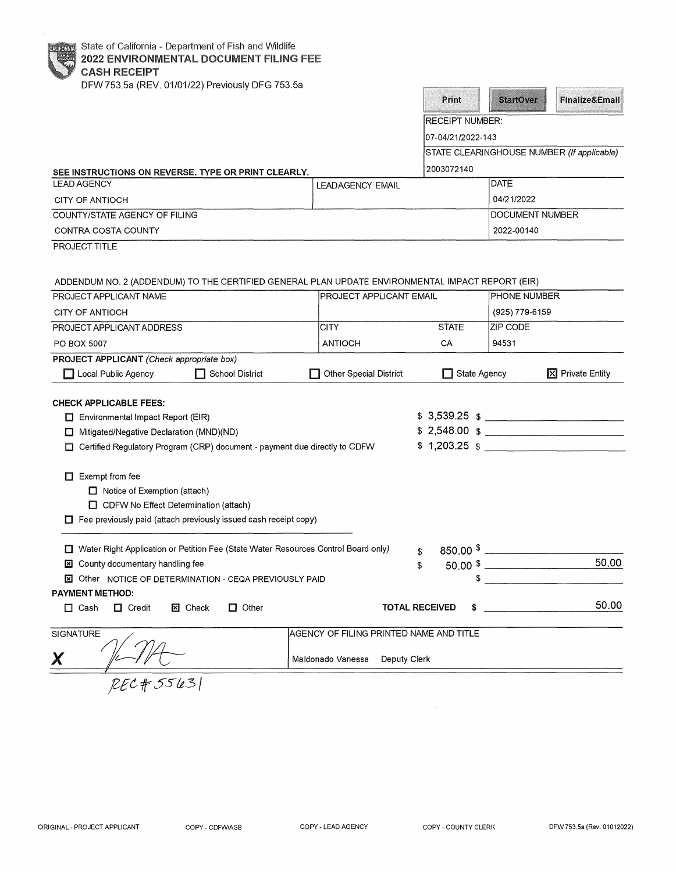| DFW 753.5a (REV. 01/01/22) Previously DFG 753.5a                                                                         |                                         | Print                       | <b>StartOver</b> | <b>Finalize&amp;Email</b>                  |
|--------------------------------------------------------------------------------------------------------------------------|-----------------------------------------|-----------------------------|------------------|--------------------------------------------|
|                                                                                                                          |                                         |                             |                  |                                            |
|                                                                                                                          |                                         | <b>RECEIPT NUMBER:</b>      |                  |                                            |
|                                                                                                                          |                                         | 07-04/21/2022-143           |                  |                                            |
|                                                                                                                          |                                         |                             |                  | STATE CLEARINGHOUSE NUMBER (If applicable) |
| SEE INSTRUCTIONS ON REVERSE. TYPE OR PRINT CLEARLY.                                                                      |                                         | 2003072140                  |                  |                                            |
| <b>LEAD AGENCY</b>                                                                                                       | <b>LEADAGENCY EMAIL</b>                 |                             | DATE             |                                            |
| CITY OF ANTIOCH                                                                                                          |                                         |                             | 04/21/2022       |                                            |
| COUNTY/STATE AGENCY OF FILING                                                                                            |                                         |                             | DOCUMENT NUMBER  |                                            |
| CONTRA COSTA COUNTY                                                                                                      |                                         |                             | 2022-00140       |                                            |
| PROJECT TITLE                                                                                                            |                                         |                             |                  |                                            |
| ADDENDUM NO. 2 (ADDENDUM) TO THE CERTIFIED GENERAL PLAN UPDATE ENVIRONMENTAL IMPACT REPORT (EIR)                         |                                         |                             |                  |                                            |
| PROJECT APPLICANT NAME                                                                                                   | <b>PROJECT APPLICANT EMAIL</b>          |                             | PHONE NUMBER     |                                            |
| CITY OF ANTIOCH                                                                                                          |                                         |                             | (925) 779-6159   |                                            |
| PROJECT APPLICANT ADDRESS                                                                                                | <b>CITY</b>                             | <b>STATE</b>                | ZIP CODE         |                                            |
| <b>PO BOX 5007</b>                                                                                                       | <b>ANTIOCH</b>                          | CA                          | 94531            |                                            |
| PROJECT APPLICANT (Check appropriate box)                                                                                |                                         |                             |                  |                                            |
| Local Public Agency<br><b>School District</b>                                                                            | <b>Other Special District</b>           | State Agency                |                  | X Private Entity                           |
|                                                                                                                          |                                         |                             |                  |                                            |
| <b>CHECK APPLICABLE FEES:</b>                                                                                            |                                         | $$3,539.25$ \$              |                  |                                            |
| $\Box$ Environmental Impact Report (EIR)                                                                                 |                                         | $$2,548.00 $$ $$$           |                  |                                            |
| Mitigated/Negative Declaration (MND)(ND)<br>□ Certified Regulatory Program (CRP) document - payment due directly to CDFW |                                         | $$1,203.25$ $$$             |                  |                                            |
|                                                                                                                          |                                         |                             |                  |                                            |
| $\Box$ Exempt from fee                                                                                                   |                                         |                             |                  |                                            |
| Notice of Exemption (attach)                                                                                             |                                         |                             |                  |                                            |
| CDFW No Effect Determination (attach)                                                                                    |                                         |                             |                  |                                            |
| $\Box$ Fee previously paid (attach previously issued cash receipt copy)                                                  |                                         |                             |                  |                                            |
|                                                                                                                          |                                         |                             |                  |                                            |
| □ Water Right Application or Petition Fee (State Water Resources Control Board only)                                     |                                         | \$                          |                  |                                            |
| <b>E</b> County documentary handling fee<br>\$                                                                           |                                         | $50.00$ \$                  |                  | 50.00                                      |
| X Other NOTICE OF DETERMINATION - CEQA PREVIOUSLY PAID                                                                   |                                         | \$                          |                  |                                            |
| <b>PAYMENT METHOD:</b>                                                                                                   |                                         |                             |                  |                                            |
| $\Box$ Cash<br>$\Box$ Credit<br><b>図 Check</b><br>Other<br>O                                                             |                                         | <b>TOTAL RECEIVED</b><br>\$ |                  | 50.00                                      |
| <b>SIGNATURE</b>                                                                                                         | AGENCY OF FILING PRINTED NAME AND TITLE |                             |                  |                                            |
| Χ                                                                                                                        | Maldonado Vanessa<br>Deputy Clerk       |                             |                  |                                            |
| RECH5563                                                                                                                 |                                         |                             |                  |                                            |

 $\alpha$